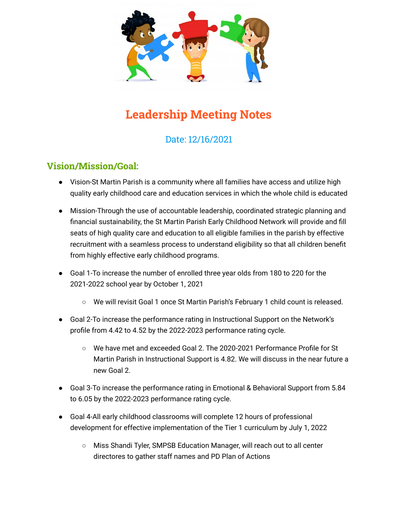

# **Leadership Meeting Notes**

# Date: 12/16/2021

### **Vision/Mission/Goal:**

- Vision-St Martin Parish is a community where all families have access and utilize high quality early childhood care and education services in which the whole child is educated
- Mission-Through the use of accountable leadership, coordinated strategic planning and financial sustainability, the St Martin Parish Early Childhood Network will provide and fill seats of high quality care and education to all eligible families in the parish by effective recruitment with a seamless process to understand eligibility so that all children benefit from highly effective early childhood programs.
- Goal 1-To increase the number of enrolled three year olds from 180 to 220 for the 2021-2022 school year by October 1, 2021
	- We will revisit Goal 1 once St Martin Parish's February 1 child count is released.
- Goal 2-To increase the performance rating in Instructional Support on the Network's profile from 4.42 to 4.52 by the 2022-2023 performance rating cycle.
	- We have met and exceeded Goal 2. The 2020-2021 Performance Profile for St Martin Parish in Instructional Support is 4.82. We will discuss in the near future a new Goal 2.
- Goal 3-To increase the performance rating in Emotional & Behavioral Support from 5.84 to 6.05 by the 2022-2023 performance rating cycle.
- Goal 4-All early childhood classrooms will complete 12 hours of professional development for effective implementation of the Tier 1 curriculum by July 1, 2022
	- Miss Shandi Tyler, SMPSB Education Manager, will reach out to all center directores to gather staff names and PD Plan of Actions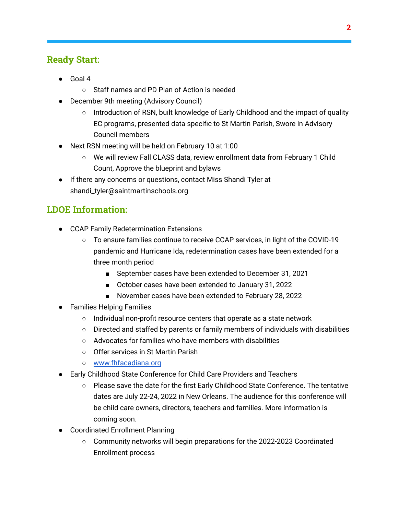## **Ready Start:**

- Goal 4
	- Staff names and PD Plan of Action is needed
- December 9th meeting (Advisory Council)
	- $\circ$  Introduction of RSN, built knowledge of Early Childhood and the impact of quality EC programs, presented data specific to St Martin Parish, Swore in Advisory Council members
- Next RSN meeting will be held on February 10 at 1:00
	- We will review Fall CLASS data, review enrollment data from February 1 Child Count, Approve the blueprint and bylaws
- If there any concerns or questions, contact Miss Shandi Tyler at shandi\_tyler@saintmartinschools.org

# **LDOE Information:**

- CCAP Family Redetermination Extensions
	- To ensure families continue to receive CCAP services, in light of the COVID-19 pandemic and Hurricane Ida, redetermination cases have been extended for a three month period
		- September cases have been extended to December 31, 2021
		- October cases have been extended to January 31, 2022
		- November cases have been extended to February 28, 2022
- Families Helping Families
	- Individual non-profit resource centers that operate as a state network
	- $\circ$  Directed and staffed by parents or family members of individuals with disabilities
	- Advocates for families who have members with disabilities
	- Offer services in St Martin Parish
	- [www.fhfacadiana.org](http://www.fhfacadiana.org)
- Early Childhood State Conference for Child Care Providers and Teachers
	- Please save the date for the first Early Childhood State Conference. The tentative dates are July 22-24, 2022 in New Orleans. The audience for this conference will be child care owners, directors, teachers and families. More information is coming soon.
- Coordinated Enrollment Planning
	- Community networks will begin preparations for the 2022-2023 Coordinated Enrollment process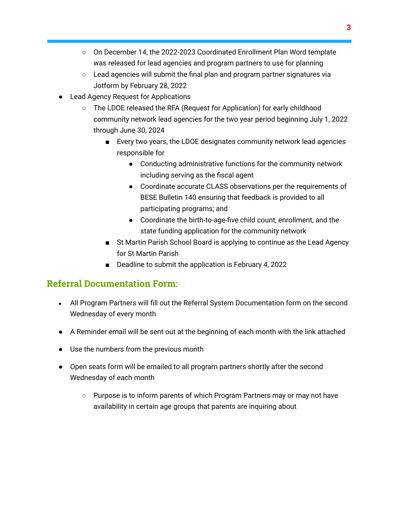- On December 14, the 2022-2023 Coordinated Enrollment Plan Word template was released for lead agencies and program partners to use for planning
- Lead agencies will submit the final plan and program partner signatures via Jotform by February 28, 2022
- Lead Agency Request for Applications
	- The LDOE released the RFA (Request for Application) for early childhood community network lead agencies for the two year period beginning July 1, 2022 through June 30, 2024
		- Every two years, the LDOE designates community network lead agencies responsible for
			- Conducting administrative functions for the community network including serving as the fiscal agent
			- Coordinate accurate CLASS observations per the requirements of BESE Bulletin 140 ensuring that feedback is provided to all participating programs; and
			- Coordinate the birth-to-age-five child count, enrollment, and the state funding application for the community network
		- St Martin Parish School Board is applying to continue as the Lead Agency for St Martin Parish
		- Deadline to submit the application is February 4, 2022

## **Referral Documentation Form:**

- All Program Partners will fill out the Referral System Documentation form on the second Wednesday of every month
- A Reminder email will be sent out at the beginning of each month with the link attached
- Use the numbers from the previous month
- Open seats form will be emailed to all program partners shortly after the second Wednesday of each month
	- Purpose is to inform parents of which Program Partners may or may not have availability in certain age groups that parents are inquiring about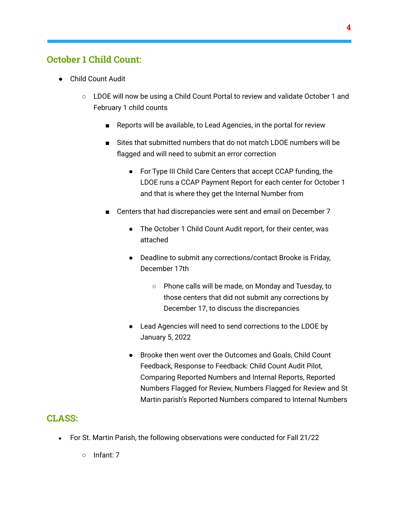#### **October 1 Child Count:**

- Child Count Audit
	- LDOE will now be using a Child Count Portal to review and validate October 1 and February 1 child counts
		- Reports will be available, to Lead Agencies, in the portal for review
		- Sites that submitted numbers that do not match LDOE numbers will be flagged and will need to submit an error correction
			- For Type III Child Care Centers that accept CCAP funding, the LDOE runs a CCAP Payment Report for each center for October 1 and that is where they get the Internal Number from
		- Centers that had discrepancies were sent and email on December 7
			- The October 1 Child Count Audit report, for their center, was attached
			- Deadline to submit any corrections/contact Brooke is Friday, December 17th
				- Phone calls will be made, on Monday and Tuesday, to those centers that did not submit any corrections by December 17, to discuss the discrepancies
			- Lead Agencies will need to send corrections to the LDOE by January 5, 2022
			- Brooke then went over the Outcomes and Goals, Child Count Feedback, Response to Feedback: Child Count Audit Pilot, Comparing Reported Numbers and Internal Reports, Reported Numbers Flagged for Review, Numbers Flagged for Review and St Martin parish's Reported Numbers compared to Internal Numbers

#### **CLASS:**

- For St. Martin Parish, the following observations were conducted for Fall 21/22
	- Infant: 7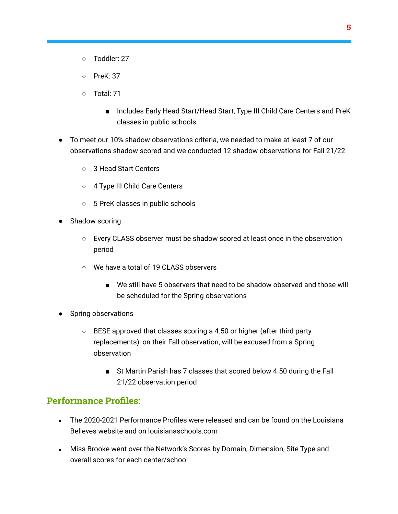- Toddler: 27
- PreK: 37
- Total: 71
	- Includes Early Head Start/Head Start, Type III Child Care Centers and PreK classes in public schools
- To meet our 10% shadow observations criteria, we needed to make at least 7 of our observations shadow scored and we conducted 12 shadow observations for Fall 21/22
	- 3 Head Start Centers
	- 4 Type III Child Care Centers
	- 5 PreK classes in public schools
- Shadow scoring
	- Every CLASS observer must be shadow scored at least once in the observation period
	- We have a total of 19 CLASS observers
		- We still have 5 observers that need to be shadow observed and those will be scheduled for the Spring observations
- Spring observations
	- BESE approved that classes scoring a 4.50 or higher (after third party replacements), on their Fall observation, will be excused from a Spring observation
		- St Martin Parish has 7 classes that scored below 4.50 during the Fall 21/22 observation period

#### **Performance Profiles:**

- $\bullet$  The 2020-2021 Performance Profiles were released and can be found on the Louisiana Believes website and on louisianaschools.com
- Miss Brooke went over the Network's Scores by Domain, Dimension, Site Type and overall scores for each center/school